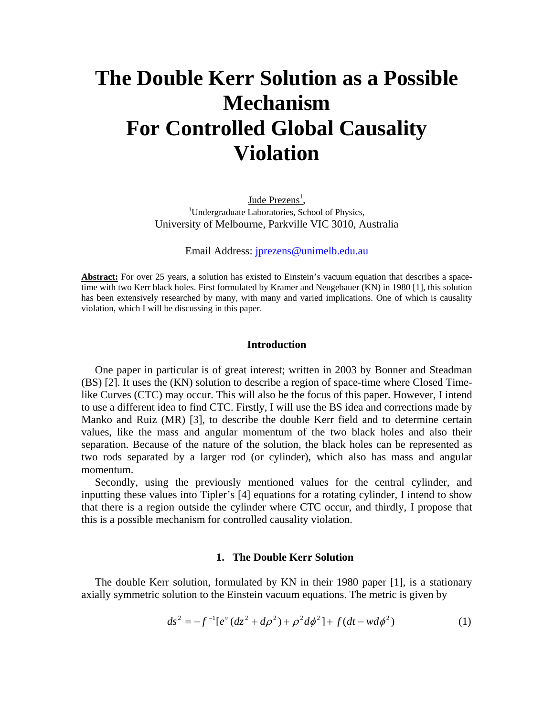# **The Double Kerr Solution as a Possible Mechanism For Controlled Global Causality Violation**

Jude  $P$ rezens<sup>1</sup>, <u>Jude Prezens<sup>1</sup></u>,<br><sup>1</sup>Undergraduate Laboratories, School of Physics, University of Melbourne, Parkville VIC 3010, Australia

Email Address: jprezens@unimelb.edu.au

**Abstract:** For over 25 years, a solution has existed to Einstein's vacuum equation that describes a spacetime with two Kerr black holes. First formulated by Kramer and Neugebauer (KN) in 1980 [1], this solution has been extensively researched by many, with many and varied implications. One of which is causality violation, which I will be discussing in this paper.

#### **Introduction**

 One paper in particular is of great interest; written in 2003 by Bonner and Steadman (BS) [2]. It uses the (KN) solution to describe a region of space-time where Closed Timelike Curves (CTC) may occur. This will also be the focus of this paper. However, I intend to use a different idea to find CTC. Firstly, I will use the BS idea and corrections made by Manko and Ruiz (MR) [3], to describe the double Kerr field and to determine certain values, like the mass and angular momentum of the two black holes and also their separation. Because of the nature of the solution, the black holes can be represented as two rods separated by a larger rod (or cylinder), which also has mass and angular momentum.

 Secondly, using the previously mentioned values for the central cylinder, and inputting these values into Tipler's [4] equations for a rotating cylinder, I intend to show that there is a region outside the cylinder where CTC occur, and thirdly, I propose that this is a possible mechanism for controlled causality violation.

# **1. The Double Kerr Solution**

 The double Kerr solution, formulated by KN in their 1980 paper [1], is a stationary axially symmetric solution to the Einstein vacuum equations. The metric is given by

$$
ds^{2} = -f^{-1}[e^{v}(dz^{2} + d\rho^{2}) + \rho^{2}d\phi^{2}] + f(dt - wd\phi^{2})
$$
 (1)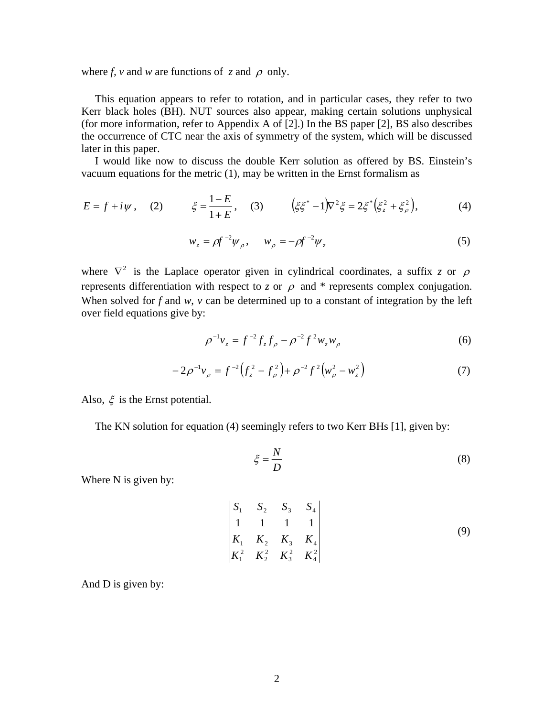where *f*, *v* and *w* are functions of *z* and  $\rho$  only.

 This equation appears to refer to rotation, and in particular cases, they refer to two Kerr black holes (BH). NUT sources also appear, making certain solutions unphysical (for more information, refer to Appendix A of [2].) In the BS paper [2], BS also describes the occurrence of CTC near the axis of symmetry of the system, which will be discussed later in this paper.

 I would like now to discuss the double Kerr solution as offered by BS. Einstein's vacuum equations for the metric (1), may be written in the Ernst formalism as

$$
E = f + i\psi, \quad (2) \qquad \xi = \frac{1 - E}{1 + E}, \quad (3) \qquad \left(\xi \xi^* - 1\right) \nabla^2 \xi = 2 \xi^* \left(\xi_z^2 + \xi_\rho^2\right), \tag{4}
$$

$$
w_z = \rho f^{-2} \psi_\rho, \qquad w_\rho = -\rho f^{-2} \psi_z \tag{5}
$$

where  $\nabla^2$  is the Laplace operator given in cylindrical coordinates, a suffix *z* or  $\rho$ represents differentiation with respect to *z* or  $\rho$  and \* represents complex conjugation. When solved for *f* and *w*, *v* can be determined up to a constant of integration by the left over field equations give by:

$$
\rho^{-1}v_z = f^{-2}f_zf_\rho - \rho^{-2}f^2w_zw_\rho \tag{6}
$$

$$
-2\rho^{-1}v_{\rho} = f^{-2}\left(f_z^2 - f_\rho^2\right) + \rho^{-2}f^2\left(w_\rho^2 - w_z^2\right) \tag{7}
$$

Also,  $\xi$  is the Ernst potential.

The KN solution for equation (4) seemingly refers to two Kerr BHs [1], given by:

$$
\xi = \frac{N}{D} \tag{8}
$$

Where N is given by:

$$
\begin{vmatrix} S_1 & S_2 & S_3 & S_4 \\ 1 & 1 & 1 & 1 \\ K_1 & K_2 & K_3 & K_4 \\ K_1^2 & K_2^2 & K_3^2 & K_4^2 \end{vmatrix} \tag{9}
$$

And D is given by: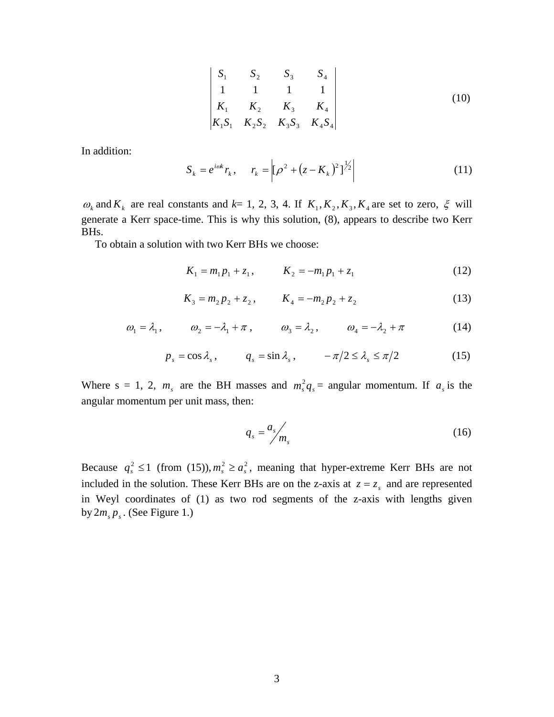$$
\begin{vmatrix} S_1 & S_2 & S_3 & S_4 \\ 1 & 1 & 1 & 1 \\ K_1 & K_2 & K_3 & K_4 \\ K_1 S_1 & K_2 S_2 & K_3 S_3 & K_4 S_4 \end{vmatrix} \tag{10}
$$

In addition:

$$
S_k = e^{i\omega k} r_k, \qquad r_k = \left[ \left( \rho^2 + (z - K_k)^2 \right)^{1/2} \right] \tag{11}
$$

 $\omega_k$  and  $K_k$  are real constants and  $k = 1, 2, 3, 4$ . If  $K_1, K_2, K_3, K_4$  are set to zero,  $\xi$  will generate a Kerr space-time. This is why this solution, (8), appears to describe two Kerr BHs.

To obtain a solution with two Kerr BHs we choose:

$$
K_1 = m_1 p_1 + z_1, \qquad K_2 = -m_1 p_1 + z_1 \tag{12}
$$

$$
K_3 = m_2 p_2 + z_2, \qquad K_4 = -m_2 p_2 + z_2 \tag{13}
$$

$$
\omega_1 = \lambda_1, \qquad \omega_2 = -\lambda_1 + \pi, \qquad \omega_3 = \lambda_2, \qquad \omega_4 = -\lambda_2 + \pi \tag{14}
$$

$$
p_s = \cos \lambda_s, \qquad q_s = \sin \lambda_s, \qquad -\pi/2 \le \lambda_s \le \pi/2 \qquad (15)
$$

Where s = 1, 2,  $m_s$  are the BH masses and  $m_s^2 q_s =$  angular momentum. If  $a_s$  is the angular momentum per unit mass, then:

$$
q_s = \frac{a_s}{m_s} \tag{16}
$$

Because  $q_s^2 \le 1$  (from (15)),  $m_s^2 \ge a_s^2$ , meaning that hyper-extreme Kerr BHs are not included in the solution. These Kerr BHs are on the z-axis at  $z = z_s$  and are represented in Weyl coordinates of (1) as two rod segments of the z-axis with lengths given by  $2m_s p_s$ . (See Figure 1.)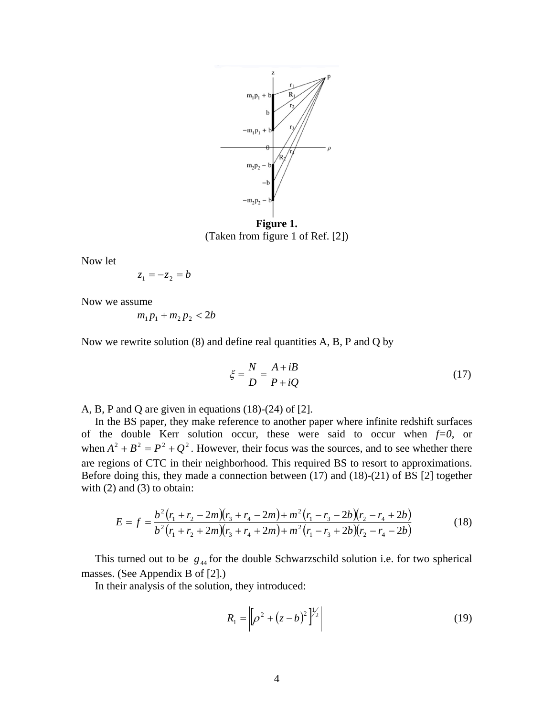

**Figure 1.**  (Taken from figure 1 of Ref. [2])

Now let

$$
z_1 = -z_2 = b
$$

Now we assume

$$
m_1 p_1 + m_2 p_2 < 2b
$$

Now we rewrite solution (8) and define real quantities A, B, P and Q by

$$
\xi = \frac{N}{D} = \frac{A + iB}{P + iQ} \tag{17}
$$

A, B, P and Q are given in equations (18)-(24) of [2].

 In the BS paper, they make reference to another paper where infinite redshift surfaces of the double Kerr solution occur, these were said to occur when  $f=0$ , or when  $A^2 + B^2 = P^2 + Q^2$ . However, their focus was the sources, and to see whether there are regions of CTC in their neighborhood. This required BS to resort to approximations. Before doing this, they made a connection between (17) and (18)-(21) of BS [2] together with  $(2)$  and  $(3)$  to obtain:

$$
E = f = \frac{b^2 (r_1 + r_2 - 2m)(r_3 + r_4 - 2m) + m^2 (r_1 - r_3 - 2b)(r_2 - r_4 + 2b)}{b^2 (r_1 + r_2 + 2m)(r_3 + r_4 + 2m) + m^2 (r_1 - r_3 + 2b)(r_2 - r_4 - 2b)}
$$
(18)

This turned out to be  $g_{44}$  for the double Schwarzschild solution i.e. for two spherical masses. (See Appendix B of [2].)

In their analysis of the solution, they introduced:

$$
R_1 = \left| \left[ \rho^2 + (z - b)^2 \right]^{1/2} \right| \tag{19}
$$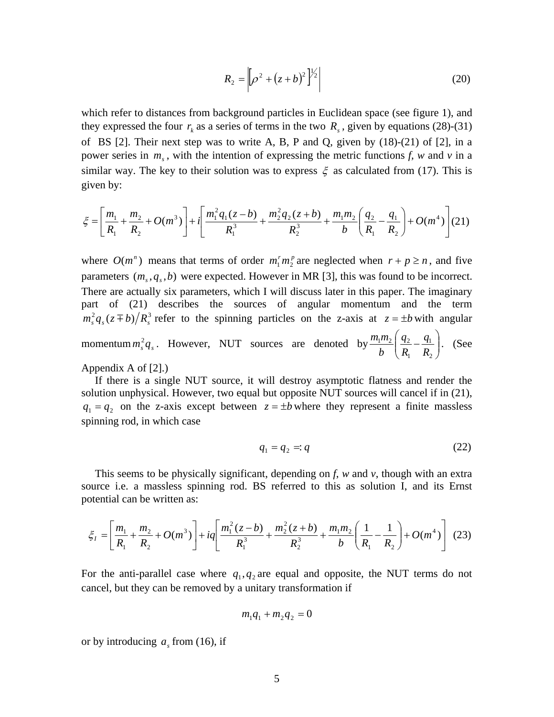$$
R_2 = \left| \left[ \rho^2 + (z+b)^2 \right]^{1/2} \right| \tag{20}
$$

which refer to distances from background particles in Euclidean space (see figure 1), and they expressed the four  $r_k$  as a series of terms in the two  $R_s$ , given by equations (28)-(31) of BS [2]. Their next step was to write A, B, P and Q, given by (18)-(21) of [2], in a power series in  $m_s$ , with the intention of expressing the metric functions *f*, *w* and *v* in a similar way. The key to their solution was to express  $\xi$  as calculated from (17). This is given by:

$$
\xi = \left[\frac{m_1}{R_1} + \frac{m_2}{R_2} + O(m^3)\right] + i\left[\frac{m_1^2 q_1(z-b)}{R_1^3} + \frac{m_2^2 q_2(z+b)}{R_2^3} + \frac{m_1 m_2}{b}\left(\frac{q_2}{R_1} - \frac{q_1}{R_2}\right) + O(m^4)\right] (21)
$$

where  $O(m^n)$  means that terms of order  $m_1^r m_2^p$  are neglected when  $r + p \ge n$ , and five parameters  $(m_s, q_s, b)$  were expected. However in MR [3], this was found to be incorrect. There are actually six parameters, which I will discuss later in this paper. The imaginary part of (21) describes the sources of angular momentum and the term  $m_{\rm s}^2 q_{\rm s}(z \pm b)/R_{\rm s}^3$  refer to the spinning particles on the z-axis at  $z = \pm b$  with angular momentum  $m_s^2 q_s$ . However, NUT sources are denoted by  $\frac{m_1 m_2}{b} \left| \frac{q_2}{R} - \frac{q_1}{R} \right|$ ⎠ ⎞  $\overline{\phantom{a}}$ ⎝  $\left(\frac{q_2}{\cdot}\right)$ 2 1 1  $1''$   $2 \mid 4$   $2$ *R q R q b*  $\frac{m_1 m_2}{\sigma} \left( \frac{q_2}{\sigma} - \frac{q_1}{\sigma} \right)$ . (See Appendix A of [2].)

 If there is a single NUT source, it will destroy asymptotic flatness and render the solution unphysical. However, two equal but opposite NUT sources will cancel if in (21),  $q_1 = q_2$  on the z-axis except between  $z = \pm b$  where they represent a finite massless spinning rod, in which case

$$
q_1 = q_2 =: q \tag{22}
$$

 This seems to be physically significant, depending on *f*, *w* and *v*, though with an extra source i.e. a massless spinning rod. BS referred to this as solution I, and its Ernst potential can be written as:

$$
\xi_1 = \left[ \frac{m_1}{R_1} + \frac{m_2}{R_2} + O(m^3) \right] + iq \left[ \frac{m_1^2 (z - b)}{R_1^3} + \frac{m_2^2 (z + b)}{R_2^3} + \frac{m_1 m_2}{b} \left( \frac{1}{R_1} - \frac{1}{R_2} \right) + O(m^4) \right] (23)
$$

For the anti-parallel case where  $q_1, q_2$  are equal and opposite, the NUT terms do not cancel, but they can be removed by a unitary transformation if

$$
m_1q_1 + m_2q_2 = 0
$$

or by introducing  $a<sub>s</sub>$  from (16), if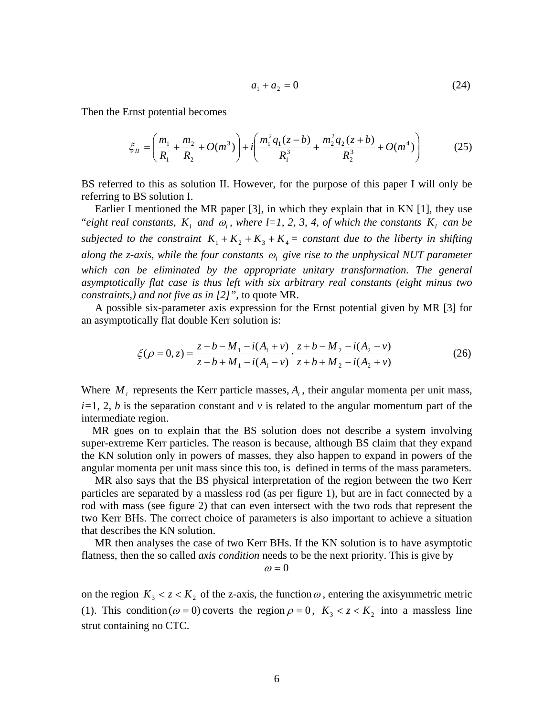$$
a_1 + a_2 = 0 \tag{24}
$$

Then the Ernst potential becomes

$$
\xi_{II} = \left(\frac{m_1}{R_1} + \frac{m_2}{R_2} + O(m^3)\right) + i\left(\frac{m_1^2 q_1 (z - b)}{R_1^3} + \frac{m_2^2 q_2 (z + b)}{R_2^3} + O(m^4)\right) \tag{25}
$$

BS referred to this as solution II. However, for the purpose of this paper I will only be referring to BS solution I.

 Earlier I mentioned the MR paper [3], in which they explain that in KN [1], they use "*eight real constants,*  $K_i$  *and*  $\omega_i$ *, where l=1, 2, 3, 4, of which the constants*  $K_i$  *can be subjected to the constraint*  $K_1 + K_2 + K_3 + K_4 =$  constant due to the liberty in shifting *along the z-axis, while the four constants* ω*l give rise to the unphysical NUT parameter*  which can be eliminated by the appropriate unitary transformation. The general *asymptotically flat case is thus left with six arbitrary real constants (eight minus two constraints,) and not five as in [2]",* to quote MR.

 A possible six-parameter axis expression for the Ernst potential given by MR [3] for an asymptotically flat double Kerr solution is:

$$
\xi(\rho = 0, z) = \frac{z - b - M_1 - i(A_1 + v)}{z - b + M_1 - i(A_1 - v)} \cdot \frac{z + b - M_2 - i(A_2 - v)}{z + b + M_2 - i(A_2 + v)}
$$
(26)

Where  $M_i$  represents the Kerr particle masses,  $A_i$ , their angular momenta per unit mass,  $i=1, 2, b$  is the separation constant and *v* is related to the angular momentum part of the intermediate region.

 MR goes on to explain that the BS solution does not describe a system involving super-extreme Kerr particles. The reason is because, although BS claim that they expand the KN solution only in powers of masses, they also happen to expand in powers of the angular momenta per unit mass since this too, is defined in terms of the mass parameters.

 MR also says that the BS physical interpretation of the region between the two Kerr particles are separated by a massless rod (as per figure 1), but are in fact connected by a rod with mass (see figure 2) that can even intersect with the two rods that represent the two Kerr BHs. The correct choice of parameters is also important to achieve a situation that describes the KN solution.

 MR then analyses the case of two Kerr BHs. If the KN solution is to have asymptotic flatness, then the so called *axis condition* needs to be the next priority. This is give by

 $\omega = 0$ 

on the region  $K_3 < z < K_2$  of the z-axis, the function  $\omega$ , entering the axisymmetric metric (1). This condition ( $\omega = 0$ ) coverts the region  $\rho = 0$ ,  $K_3 < z < K_2$  into a massless line strut containing no CTC.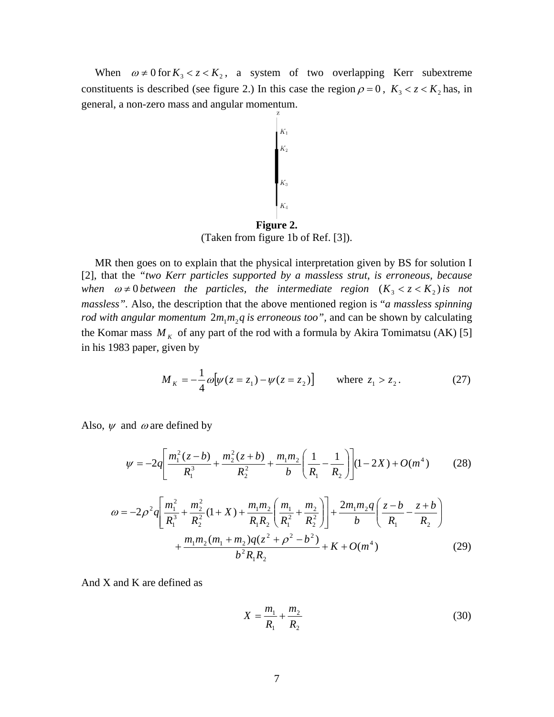When  $\omega \neq 0$  for  $K_3 < z < K_2$ , a system of two overlapping Kerr subextreme constituents is described (see figure 2.) In this case the region  $\rho = 0$ ,  $K_3 < z < K_2$  has, in general, a non-zero mass and angular momentum.

$$
K_1
$$
\n
$$
K_2
$$
\n
$$
K_3
$$
\n
$$
K_4
$$
\n**Figure 2.**

(Taken from figure 1b of Ref. [3]).

 MR then goes on to explain that the physical interpretation given by BS for solution I [2], that the *"two Kerr particles supported by a massless strut*, *is erroneous, because when*  $\omega \neq 0$  *between the particles, the intermediate region*  $(K_3 < z < K_2)$  *is not massless".* Also, the description that the above mentioned region is "*a massless spinning rod with angular momentum*  $2m_1m_2q$  *is erroneous too",* and can be shown by calculating the Komar mass  $M_k$  of any part of the rod with a formula by Akira Tomimatsu (AK) [5] in his 1983 paper, given by

$$
M_K = -\frac{1}{4}\omega[\psi(z = z_1) - \psi(z = z_2)] \quad \text{where } z_1 > z_2. \tag{27}
$$

Also,  $\psi$  and  $\omega$  are defined by

$$
\psi = -2q \left[ \frac{m_1^2(z-b)}{R_1^3} + \frac{m_2^2(z+b)}{R_2^2} + \frac{m_1 m_2}{b} \left( \frac{1}{R_1} - \frac{1}{R_2} \right) \right] (1 - 2X) + O(m^4)
$$
 (28)

$$
\omega = -2\rho^2 q \left[ \frac{m_1^2}{R_1^3} + \frac{m_2^2}{R_2^2} (1 + X) + \frac{m_1 m_2}{R_1 R_2} \left( \frac{m_1}{R_1^2} + \frac{m_2}{R_2^2} \right) \right] + \frac{2m_1 m_2 q}{b} \left( \frac{z - b}{R_1} - \frac{z + b}{R_2} \right) + \frac{m_1 m_2 (m_1 + m_2) q (z^2 + \rho^2 - b^2)}{b^2 R_1 R_2} + K + O(m^4) \tag{29}
$$

And X and K are defined as

$$
X = \frac{m_1}{R_1} + \frac{m_2}{R_2}
$$
 (30)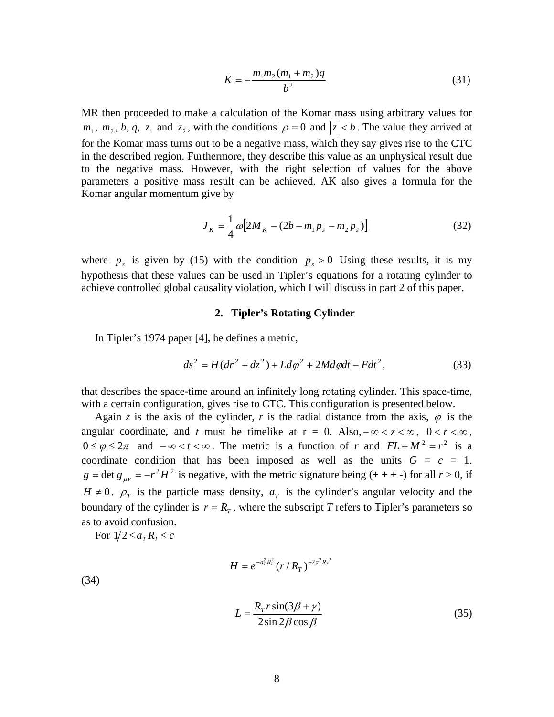$$
K = -\frac{m_1 m_2 (m_1 + m_2) q}{b^2} \tag{31}
$$

MR then proceeded to make a calculation of the Komar mass using arbitrary values for  $m_1$ ,  $m_2$ ,  $b$ ,  $q$ ,  $z_1$  and  $z_2$ , with the conditions  $\rho = 0$  and  $|z| < b$ . The value they arrived at for the Komar mass turns out to be a negative mass, which they say gives rise to the CTC in the described region. Furthermore, they describe this value as an unphysical result due to the negative mass. However, with the right selection of values for the above parameters a positive mass result can be achieved. AK also gives a formula for the Komar angular momentum give by

$$
J_K = \frac{1}{4} \omega \left[ 2M_K - (2b - m_1 p_s - m_2 p_s) \right]
$$
 (32)

where  $p_s$  is given by (15) with the condition  $p_s > 0$  Using these results, it is my hypothesis that these values can be used in Tipler's equations for a rotating cylinder to achieve controlled global causality violation, which I will discuss in part 2 of this paper.

#### **2. Tipler's Rotating Cylinder**

In Tipler's 1974 paper [4], he defines a metric,

$$
ds^{2} = H(dr^{2} + dz^{2}) + Ld\varphi^{2} + 2Md\varphi dt - Fdt^{2},
$$
\n(33)

that describes the space-time around an infinitely long rotating cylinder. This space-time, with a certain configuration, gives rise to CTC. This configuration is presented below.

Again *z* is the axis of the cylinder, *r* is the radial distance from the axis,  $\varphi$  is the angular coordinate, and *t* must be timelike at  $r = 0$ . Also,  $-\infty < z < \infty$ ,  $0 < r < \infty$ ,  $0 \le \varphi \le 2\pi$  and  $-\infty < t < \infty$ . The metric is a function of *r* and  $FL + M^2 = r^2$  is a coordinate condition that has been imposed as well as the units  $G = c = 1$ .  $g = \det g_{\mu\nu} = -r^2 H^2$  is negative, with the metric signature being (+ + + -) for all  $r > 0$ , if  $H \neq 0$ .  $\rho$ <sub>*T*</sub> is the particle mass density,  $a$ <sub>*T*</sub> is the cylinder's angular velocity and the boundary of the cylinder is  $r = R<sub>r</sub>$ , where the subscript *T* refers to Tipler's parameters so as to avoid confusion.

For  $1/2 < a_T R_T < c$ 

$$
H = e^{-a_T^2 R_T^2} \, (r \,/\, R_{_T}\,)^{-2 a_T^2 R_T^{-2}}
$$

(34)

$$
L = \frac{R_r r \sin(3\beta + \gamma)}{2 \sin 2\beta \cos \beta}
$$
 (35)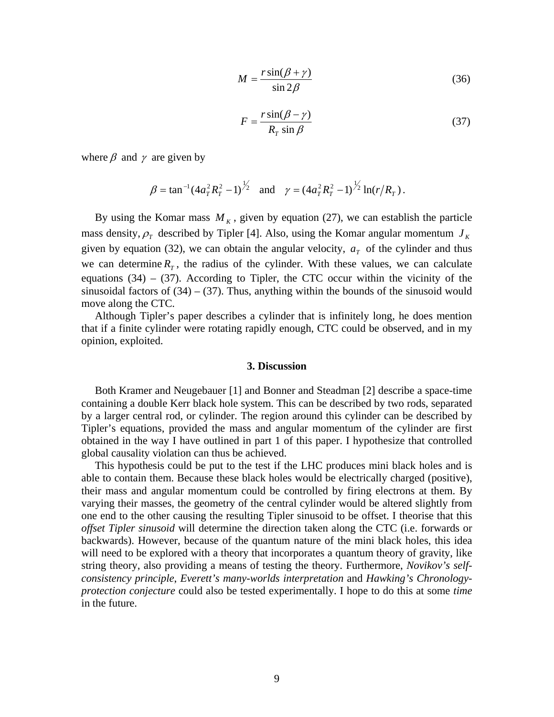$$
M = \frac{r \sin(\beta + \gamma)}{\sin 2\beta} \tag{36}
$$

$$
F = \frac{r\sin(\beta - \gamma)}{R_r \sin \beta} \tag{37}
$$

where  $\beta$  and  $\gamma$  are given by

$$
\beta = \tan^{-1} (4a_T^2 R_T^2 - 1)^{\frac{1}{2}}
$$
 and  $\gamma = (4a_T^2 R_T^2 - 1)^{\frac{1}{2}} \ln(r/R_T)$ .

By using the Komar mass  $M_K$ , given by equation (27), we can establish the particle mass density,  $\rho$ <sub>*T*</sub> described by Tipler [4]. Also, using the Komar angular momentum  $J_K$ given by equation (32), we can obtain the angular velocity,  $a<sub>T</sub>$  of the cylinder and thus we can determine  $R_T$ , the radius of the cylinder. With these values, we can calculate equations  $(34) - (37)$ . According to Tipler, the CTC occur within the vicinity of the sinusoidal factors of  $(34) - (37)$ . Thus, anything within the bounds of the sinusoid would move along the CTC.

 Although Tipler's paper describes a cylinder that is infinitely long, he does mention that if a finite cylinder were rotating rapidly enough, CTC could be observed, and in my opinion, exploited.

# **3. Discussion**

 Both Kramer and Neugebauer [1] and Bonner and Steadman [2] describe a space-time containing a double Kerr black hole system. This can be described by two rods, separated by a larger central rod, or cylinder. The region around this cylinder can be described by Tipler's equations, provided the mass and angular momentum of the cylinder are first obtained in the way I have outlined in part 1 of this paper. I hypothesize that controlled global causality violation can thus be achieved.

 This hypothesis could be put to the test if the LHC produces mini black holes and is able to contain them. Because these black holes would be electrically charged (positive), their mass and angular momentum could be controlled by firing electrons at them. By varying their masses, the geometry of the central cylinder would be altered slightly from one end to the other causing the resulting Tipler sinusoid to be offset. I theorise that this *offset Tipler sinusoid* will determine the direction taken along the CTC (i.e. forwards or backwards). However, because of the quantum nature of the mini black holes, this idea will need to be explored with a theory that incorporates a quantum theory of gravity, like string theory, also providing a means of testing the theory. Furthermore, *Novikov's selfconsistency principle*, *Everett's many-worlds interpretation* and *Hawking's Chronologyprotection conjecture* could also be tested experimentally. I hope to do this at some *time*  in the future.